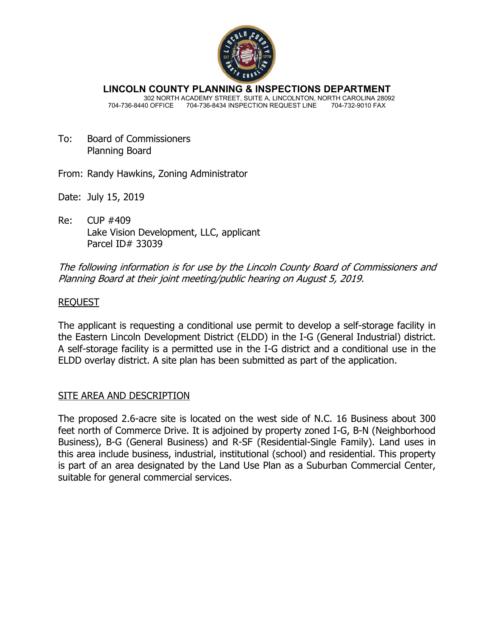

**LINCOLN COUNTY PLANNING & INSPECTIONS DEPARTMENT** 302 NORTH ACADEMY STREET, SUITE A, LINCOLNTON, NORTH CAROLINA 28092 704-736-8440 OFFICE 704-736-8434 INSPECTION REQUEST LINE 704-732-9010 FAX

To: Board of Commissioners Planning Board

From: Randy Hawkins, Zoning Administrator

- Date: July 15, 2019
- Re: CUP #409 Lake Vision Development, LLC, applicant Parcel ID# 33039

The following information is for use by the Lincoln County Board of Commissioners and Planning Board at their joint meeting/public hearing on August 5, 2019.

# REQUEST

The applicant is requesting a conditional use permit to develop a self-storage facility in the Eastern Lincoln Development District (ELDD) in the I-G (General Industrial) district. A self-storage facility is a permitted use in the I-G district and a conditional use in the ELDD overlay district. A site plan has been submitted as part of the application.

# SITE AREA AND DESCRIPTION

The proposed 2.6-acre site is located on the west side of N.C. 16 Business about 300 feet north of Commerce Drive. It is adjoined by property zoned I-G, B-N (Neighborhood Business), B-G (General Business) and R-SF (Residential-Single Family). Land uses in this area include business, industrial, institutional (school) and residential. This property is part of an area designated by the Land Use Plan as a Suburban Commercial Center, suitable for general commercial services.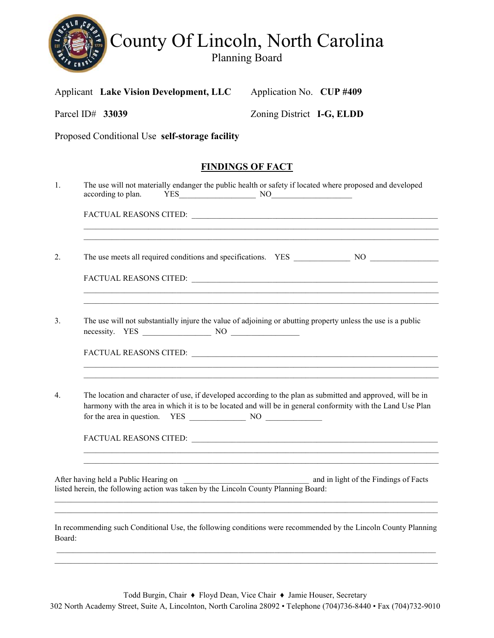

Applicant Lake Vision Development, LLC Application No. CUP #409

| Parcel ID# 33039 | Zoning District I-G, ELDD                                                                                                                                                                                                  |
|------------------|----------------------------------------------------------------------------------------------------------------------------------------------------------------------------------------------------------------------------|
|                  | Proposed Conditional Use self-storage facility                                                                                                                                                                             |
|                  | <b>FINDINGS OF FACT</b>                                                                                                                                                                                                    |
| $\mathbf{1}$ .   | The use will not materially endanger the public health or safety if located where proposed and developed<br>according to plan.<br>$YES$ NO $NOS$                                                                           |
|                  |                                                                                                                                                                                                                            |
| 2.               |                                                                                                                                                                                                                            |
|                  |                                                                                                                                                                                                                            |
| 3.               | The use will not substantially injure the value of adjoining or abutting property unless the use is a public<br>necessity. YES NO                                                                                          |
|                  |                                                                                                                                                                                                                            |
| $4_{\cdot}$      | The location and character of use, if developed according to the plan as submitted and approved, will be in<br>harmony with the area in which it is to be located and will be in general conformity with the Land Use Plan |
|                  | <u> 1989 - Johann Stoff, deutscher Stoff, der Stoff, der Stoff, der Stoff, der Stoff, der Stoff, der Stoff, der S</u>                                                                                                      |
|                  | After having held a Public Hearing on<br>and in light of the Findings of Facts<br>After having held a Public Hearing on<br>listed herein, the following action was taken by the Lincoln County Planning Board:             |
| Board:           | In recommending such Conditional Use, the following conditions were recommended by the Lincoln County Planning                                                                                                             |

Todd Burgin, Chair ♦ Floyd Dean, Vice Chair ♦ Jamie Houser, Secretary 302 North Academy Street, Suite A, Lincolnton, North Carolina 28092 • Telephone (704)736-8440 • Fax (704)732-9010

\_\_\_\_\_\_\_\_\_\_\_\_\_\_\_\_\_\_\_\_\_\_\_\_\_\_\_\_\_\_\_\_\_\_\_\_\_\_\_\_\_\_\_\_\_\_\_\_\_\_\_\_\_\_\_\_\_\_\_\_\_\_\_\_\_\_\_\_\_\_\_\_\_\_\_\_\_\_\_\_\_\_\_\_\_\_\_\_\_\_\_\_\_\_\_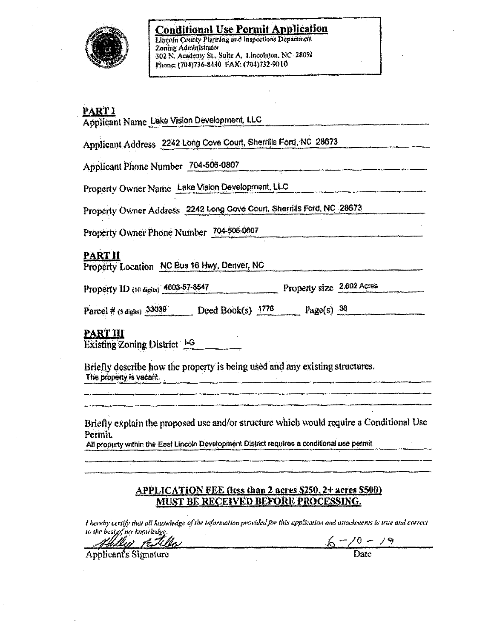

**Conditional Use Permit Application** Lincoln County Planning and Inspections Department Zoning Administrator 302 N. Academy St., Suite A. Lincolnton, NC 28092

Phone: (704)736-8440 FAX: (704)732-9010

#### **PARTI**

Applicant Name Lake Vision Development, LLC

Applicant Address 2242 Long Cove Court, Sherrills Ford, NO 28673

Applicant Phone Number 704-506-0807

Property Owner Name Lake Vision Development, LLC

Property Owner Address 2242 Long Cove Court, Sherrills Ford, NC 28673

Property Owner Phone Number 704-506-0807

# **PART II**

Property Location NC Bus 16 Hwy, Denver, NC

Property ID (10 digits) 4603-57-8547 Property size 2.602 Acres

Parcel # (s digits) 33039 Deed Book(s) 1776 Page(s) 38

# <u>PART III</u>

Existing Zoning District 1-6

Briefly describe how the property is being used and any existing structures. The property is vacant.

Briefly explain the proposed use and/or structure which would require a Conditional Use Permit.

All property within the East Lincoln Development District requires a conditional use permit.

### APPLICATION FEE (less than 2 acres \$250, 2+ acres \$500) <u>MUST BE RECEIVED BEFORE PROCESSING.</u>

I hereby certify that all knowledge of the information provided for this application and attachments is true and correct to the best of my knowledge

 $6 - 70 - 79$ <br>Date

Applicant's Signature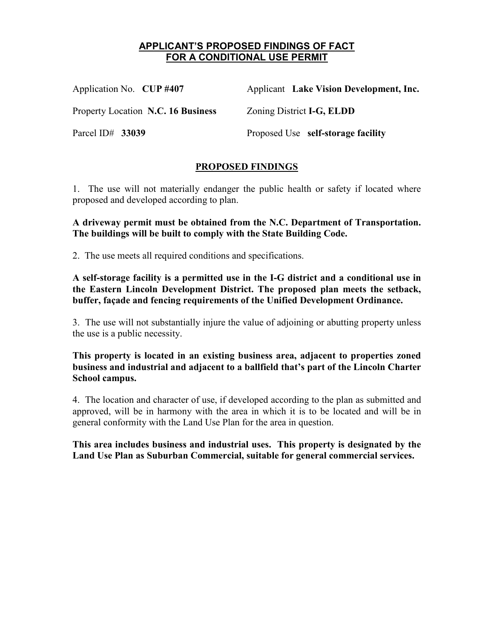# **APPLICANT'S PROPOSED FINDINGS OF FACT FOR A CONDITIONAL USE PERMIT**

| Application No. CUP #407           | Applicant Lake Vision Development, Inc.  |
|------------------------------------|------------------------------------------|
| Property Location N.C. 16 Business | Zoning District <b>I-G</b> , <b>ELDD</b> |
| Parcel ID# $33039$                 | Proposed Use self-storage facility       |

# **PROPOSED FINDINGS**

1. The use will not materially endanger the public health or safety if located where proposed and developed according to plan.

**A driveway permit must be obtained from the N.C. Department of Transportation. The buildings will be built to comply with the State Building Code.** 

2. The use meets all required conditions and specifications.

**A self-storage facility is a permitted use in the I-G district and a conditional use in the Eastern Lincoln Development District. The proposed plan meets the setback, buffer, façade and fencing requirements of the Unified Development Ordinance.** 

3. The use will not substantially injure the value of adjoining or abutting property unless the use is a public necessity.

**This property is located in an existing business area, adjacent to properties zoned business and industrial and adjacent to a ballfield that's part of the Lincoln Charter School campus.** 

4. The location and character of use, if developed according to the plan as submitted and approved, will be in harmony with the area in which it is to be located and will be in general conformity with the Land Use Plan for the area in question.

**This area includes business and industrial uses. This property is designated by the Land Use Plan as Suburban Commercial, suitable for general commercial services.**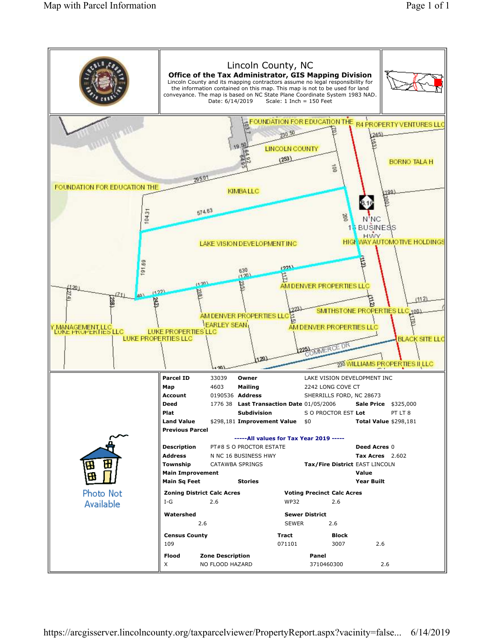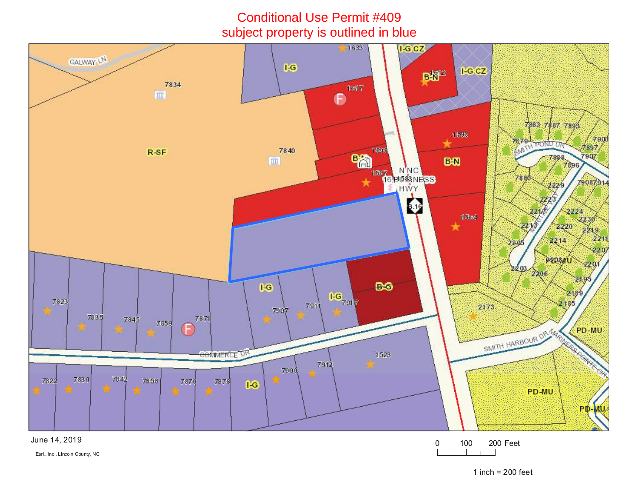# Conditional Use Permit #409subject property is outlined in blue



June 14, 2019

<sup>0</sup> <sup>100</sup> <sup>200</sup> Feet

Esri., Inc., Lincoln County, NC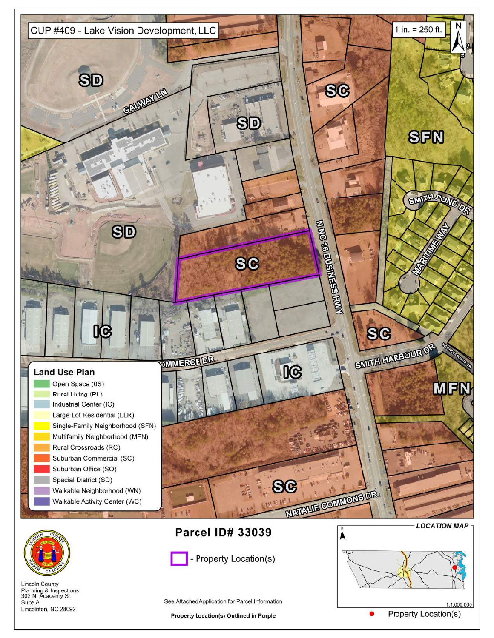



**Lincoln County** Planning & Inspections<br>302 N. Academy St. Suite A Lincolnton, NC 28092

See Attached Application for Parcel Information

- Property Location(s)

**Property Location(s) Outlined in Purple** 

1:1,000,000 **Property Location(s)**